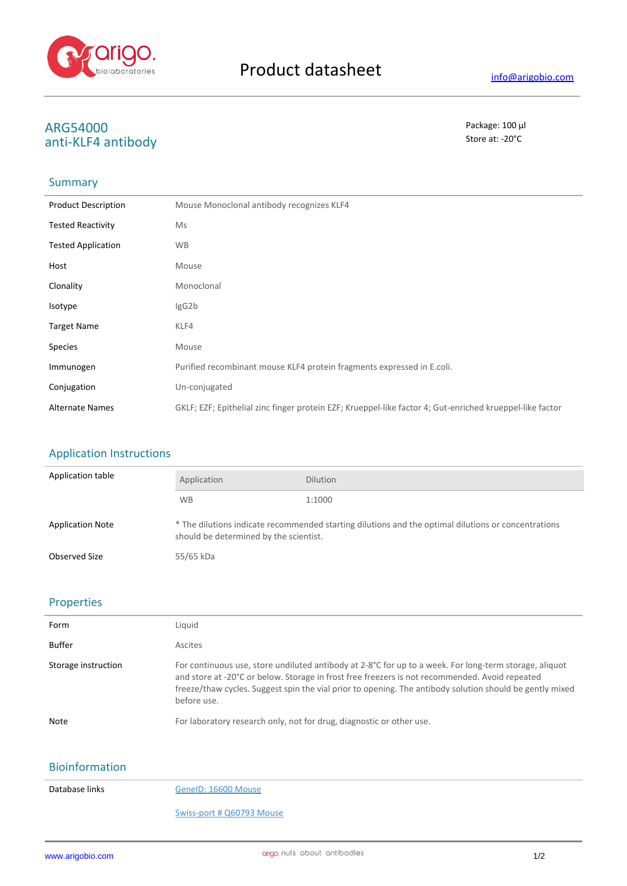

# **ARG54000** Package: 100 μl<br>
anti-KLE4 antibody anti-KLF4 antibody

## **Summary**

| <b>Product Description</b> | Mouse Monoclonal antibody recognizes KLF4                                                                |
|----------------------------|----------------------------------------------------------------------------------------------------------|
| <b>Tested Reactivity</b>   | Ms                                                                                                       |
| <b>Tested Application</b>  | <b>WB</b>                                                                                                |
| Host                       | Mouse                                                                                                    |
| Clonality                  | Monoclonal                                                                                               |
| <b>Isotype</b>             | IgG2b                                                                                                    |
| <b>Target Name</b>         | KLF4                                                                                                     |
| <b>Species</b>             | Mouse                                                                                                    |
| Immunogen                  | Purified recombinant mouse KLF4 protein fragments expressed in E.coli.                                   |
| Conjugation                | Un-conjugated                                                                                            |
| <b>Alternate Names</b>     | GKLF; EZF; Epithelial zinc finger protein EZF; Krueppel-like factor 4; Gut-enriched krueppel-like factor |

# Application Instructions

| Application table       | Application                                                                                                                                   | <b>Dilution</b> |
|-------------------------|-----------------------------------------------------------------------------------------------------------------------------------------------|-----------------|
|                         | <b>WB</b>                                                                                                                                     | 1:1000          |
| <b>Application Note</b> | * The dilutions indicate recommended starting dilutions and the optimal dilutions or concentrations<br>should be determined by the scientist. |                 |
| Observed Size           | 55/65 kDa                                                                                                                                     |                 |

#### Properties

| Form                | Liquid                                                                                                                                                                                                                                                                                                                              |
|---------------------|-------------------------------------------------------------------------------------------------------------------------------------------------------------------------------------------------------------------------------------------------------------------------------------------------------------------------------------|
| Buffer              | Ascites                                                                                                                                                                                                                                                                                                                             |
| Storage instruction | For continuous use, store undiluted antibody at 2-8°C for up to a week. For long-term storage, aliquot<br>and store at -20°C or below. Storage in frost free freezers is not recommended. Avoid repeated<br>freeze/thaw cycles. Suggest spin the vial prior to opening. The antibody solution should be gently mixed<br>before use. |
| Note                | For laboratory research only, not for drug, diagnostic or other use.                                                                                                                                                                                                                                                                |

# Bioinformation

Database links GeneID: 16600 Mouse

#### Swiss-port # Q60793 Mouse